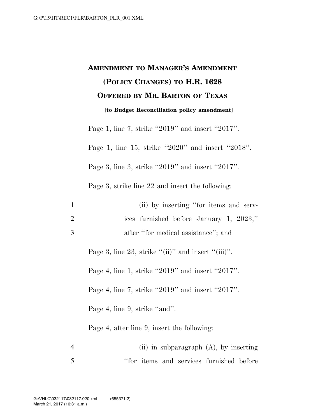## **AMENDMENT TO MANAGER'S AMENDMENT (POLICY CHANGES) TO H.R. 1628 OFFERED BY MR. BARTON OF TEXAS [to Budget Reconciliation policy amendment]**

Page 1, line 7, strike ''2019'' and insert ''2017''.

Page 1, line 15, strike ''2020'' and insert ''2018''.

Page 3, line 3, strike ''2019'' and insert ''2017''.

Page 3, strike line 22 and insert the following:

| -1 | (ii) by inserting "for items and serv-  |
|----|-----------------------------------------|
| 2  | ices furnished before January 1, 2023," |
| 3  | after "for medical assistance"; and     |

Page 3, line 23, strike  $"(\text{ii})"$  and insert  $"(\text{iii})"$ .

Page 4, line 1, strike ''2019'' and insert ''2017''.

Page 4, line 7, strike ''2019'' and insert ''2017''.

Page 4, line 9, strike "and".

Page 4, after line 9, insert the following:

4 (ii) in subparagraph (A), by inserting 5 ''for items and services furnished before